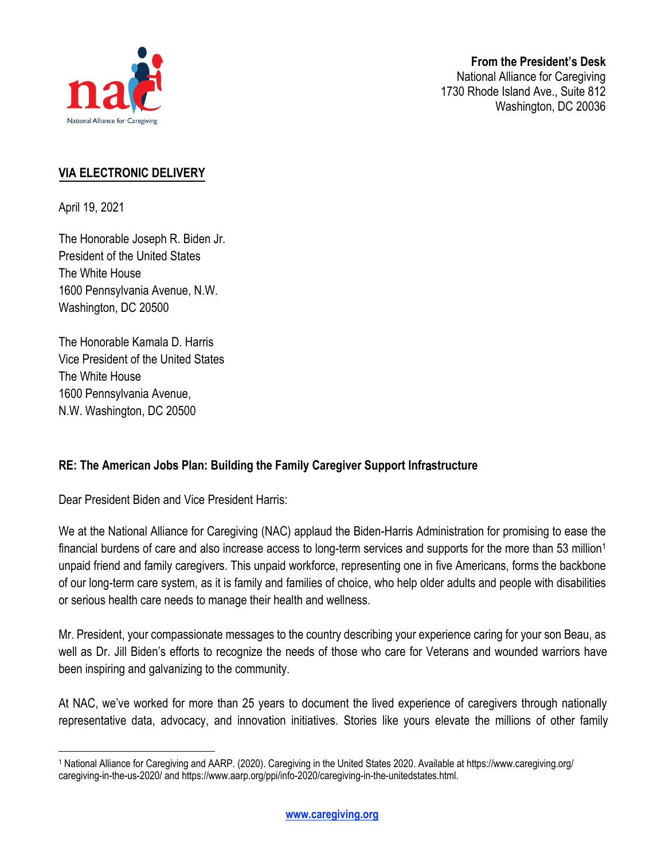

National Alliance for Caregiving 1730 Rhode Island Ave., Suite 812 Washington, DC 20036

# **VIA ELECTRONIC DELIVERY**

April 19, 2021

The Honorable Joseph R. Biden Jr. President of the United States The White House 1600 Pennsylvania Avenue, N.W. Washington, DC 20500

The Honorable Kamala D. Harris Vice President of the United States The White House 1600 Pennsylvania Avenue, N.W. Washington, DC 20500

# **RE: The American Jobs Plan: Building the Family Caregiver Support Infr**a**structure**

Dear President Biden and Vice President Harris:

We at the National Alliance for Caregiving (NAC) applaud the Biden-Harris Administration for promising to ease the financial burdens of care and also increase access to long-term services and supports for the more than 53 million<sup>1</sup> unpaid friend and family caregivers. This unpaid workforce, representing one in five Americans, forms the backbone of our long-term care system, as it is family and families of choice, who help older adults and people with disabilities or serious health care needs to manage their health and wellness.

Mr. President, your compassionate messages to the country describing your experience caring for your son Beau, as well as Dr. Jill Biden's efforts to recognize the needs of those who care for Veterans and wounded warriors have been inspiring and galvanizing to the community.

At NAC, we've worked for more than 25 years to document the lived experience of caregivers through nationally representative data, advocacy, and innovation initiatives. Stories like yours elevate the millions of other family

<sup>1</sup> National Alliance for Caregiving and AARP. (2020). Caregiving in the United States 2020. Available at https://www.caregiving.org/ caregiving-in-the-us-2020/ and https://www.aarp.org/ppi/info-2020/caregiving-in-the-unitedstates.html.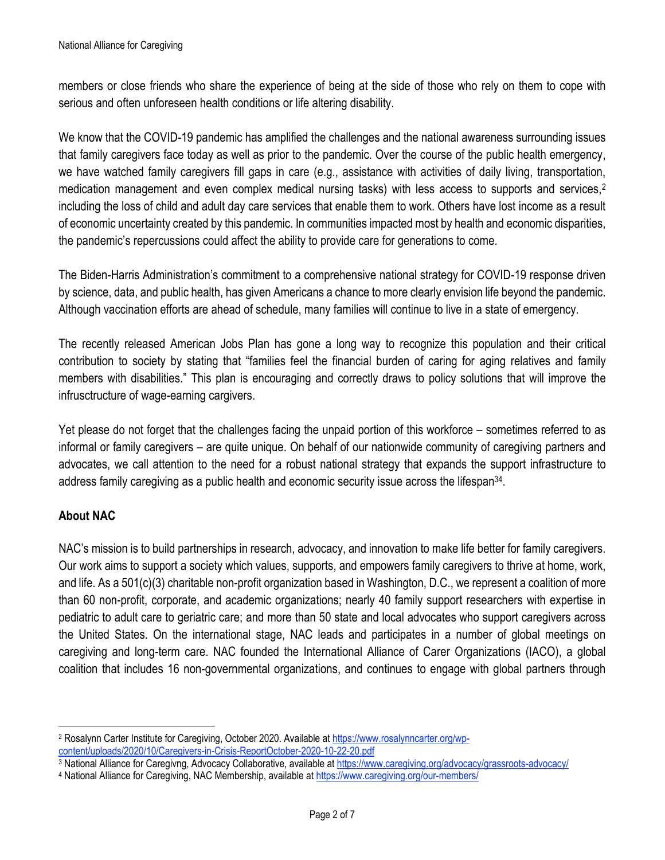members or close friends who share the experience of being at the side of those who rely on them to cope with serious and often unforeseen health conditions or life altering disability.

We know that the COVID-19 pandemic has amplified the challenges and the national awareness surrounding issues that family caregivers face today as well as prior to the pandemic. Over the course of the public health emergency, we have watched family caregivers fill gaps in care (e.g., assistance with activities of daily living, transportation, medication management and even complex medical nursing tasks) with less access to supports and services,<sup>2</sup> including the loss of child and adult day care services that enable them to work. Others have lost income as a result of economic uncertainty created by this pandemic. In communities impacted most by health and economic disparities, the pandemic's repercussions could affect the ability to provide care for generations to come.

The Biden-Harris Administration's commitment to a comprehensive national strategy for COVID-19 response driven by science, data, and public health, has given Americans a chance to more clearly envision life beyond the pandemic. Although vaccination efforts are ahead of schedule, many families will continue to live in a state of emergency.

The recently released American Jobs Plan has gone a long way to recognize this population and their critical contribution to society by stating that "families feel the financial burden of caring for aging relatives and family members with disabilities." This plan is encouraging and correctly draws to policy solutions that will improve the infrusctructure of wage-earning cargivers.

Yet please do not forget that the challenges facing the unpaid portion of this workforce – sometimes referred to as informal or family caregivers – are quite unique. On behalf of our nationwide community of caregiving partners and advocates, we call attention to the need for a robust national strategy that expands the support infrastructure to address family caregiving as a public health and economic security issue across the lifespan<sup>34</sup>.

# **About NAC**

NAC's mission is to build partnerships in research, advocacy, and innovation to make life better for family caregivers. Our work aims to support a society which values, supports, and empowers family caregivers to thrive at home, work, and life. As a 501(c)(3) charitable non-profit organization based in Washington, D.C., we represent a coalition of more than 60 non-profit, corporate, and academic organizations; nearly 40 family support researchers with expertise in pediatric to adult care to geriatric care; and more than 50 state and local advocates who support caregivers across the United States. On the international stage, NAC leads and participates in a number of global meetings on caregiving and long-term care. NAC founded the International Alliance of Carer Organizations (IACO), a global coalition that includes 16 non-governmental organizations, and continues to engage with global partners through

<sup>2</sup> Rosalynn Carter Institute for Caregiving, October 2020. Available at https://www.rosalynncarter.org/wpcontent/uploads/2020/10/Caregivers-in-Crisis-ReportOctober-2020-10-22-20.pdf

<sup>3</sup> National Alliance for Caregivng, Advocacy Collaborative, available at https://www.caregiving.org/advocacy/grassroots-advocacy/

<sup>4</sup> National Alliance for Caregiving, NAC Membership, available at https://www.caregiving.org/our-members/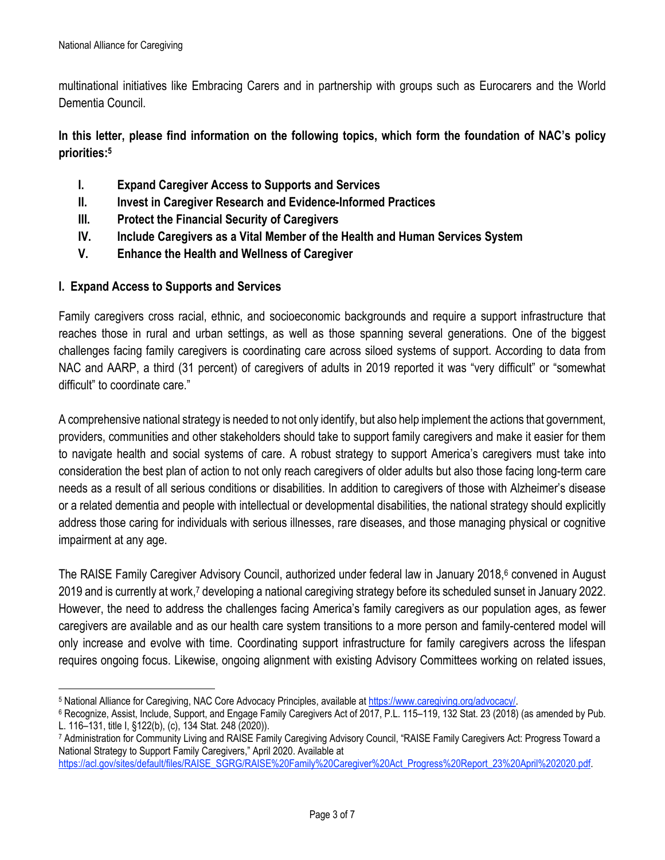multinational initiatives like Embracing Carers and in partnership with groups such as Eurocarers and the World Dementia Council.

**In this letter, please find information on the following topics, which form the foundation of NAC's policy priorities:5**

- **I. Expand Caregiver Access to Supports and Services**
- **II. Invest in Caregiver Research and Evidence-Informed Practices**
- **III. Protect the Financial Security of Caregivers**
- **IV. Include Caregivers as a Vital Member of the Health and Human Services System**
- **V. Enhance the Health and Wellness of Caregiver**

### **I. Expand Access to Supports and Services**

Family caregivers cross racial, ethnic, and socioeconomic backgrounds and require a support infrastructure that reaches those in rural and urban settings, as well as those spanning several generations. One of the biggest challenges facing family caregivers is coordinating care across siloed systems of support. According to data from NAC and AARP, a third (31 percent) of caregivers of adults in 2019 reported it was "very difficult" or "somewhat difficult" to coordinate care."

A comprehensive national strategy is needed to not only identify, but also help implement the actions that government, providers, communities and other stakeholders should take to support family caregivers and make it easier for them to navigate health and social systems of care. A robust strategy to support America's caregivers must take into consideration the best plan of action to not only reach caregivers of older adults but also those facing long-term care needs as a result of all serious conditions or disabilities. In addition to caregivers of those with Alzheimer's disease or a related dementia and people with intellectual or developmental disabilities, the national strategy should explicitly address those caring for individuals with serious illnesses, rare diseases, and those managing physical or cognitive impairment at any age.

The RAISE Family Caregiver Advisory Council, authorized under federal law in January 2018,6 convened in August 2019 and is currently at work,<sup>7</sup> developing a national caregiving strategy before its scheduled sunset in January 2022. However, the need to address the challenges facing America's family caregivers as our population ages, as fewer caregivers are available and as our health care system transitions to a more person and family-centered model will only increase and evolve with time. Coordinating support infrastructure for family caregivers across the lifespan requires ongoing focus. Likewise, ongoing alignment with existing Advisory Committees working on related issues,

<sup>&</sup>lt;sup>5</sup> National Alliance for Caregiving, NAC Core Advocacy Principles, available at https://www.caregiving.org/advocacy/.<br><sup>6</sup> Recognize, Assist, Include, Support, and Engage Family Caregivers Act of 2017, P.L. 115–119, 132 St L. 116–131, title I, §122(b), (c), 134 Stat. 248 (2020)).

<sup>7</sup> Administration for Community Living and RAISE Family Caregiving Advisory Council, "RAISE Family Caregivers Act: Progress Toward a National Strategy to Support Family Caregivers," April 2020. Available at

https://acl.gov/sites/default/files/RAISE\_SGRG/RAISE%20Family%20Caregiver%20Act\_Progress%20Report\_23%20April%202020.pdf.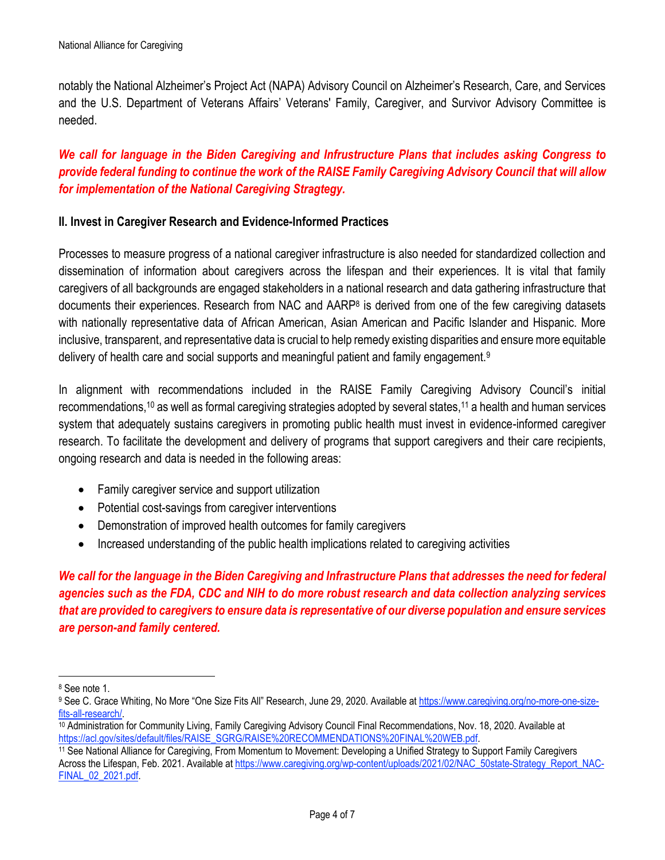notably the National Alzheimer's Project Act (NAPA) Advisory Council on Alzheimer's Research, Care, and Services and the U.S. Department of Veterans Affairs' Veterans' Family, Caregiver, and Survivor Advisory Committee is needed.

# *We call for language in the Biden Caregiving and Infrustructure Plans that includes asking Congress to provide federal funding to continue the work of the RAISE Family Caregiving Advisory Council that will allow for implementation of the National Caregiving Stragtegy.*

#### **II. Invest in Caregiver Research and Evidence-Informed Practices**

Processes to measure progress of a national caregiver infrastructure is also needed for standardized collection and dissemination of information about caregivers across the lifespan and their experiences. It is vital that family caregivers of all backgrounds are engaged stakeholders in a national research and data gathering infrastructure that documents their experiences. Research from NAC and AARP8 is derived from one of the few caregiving datasets with nationally representative data of African American, Asian American and Pacific Islander and Hispanic. More inclusive, transparent, and representative data is crucial to help remedy existing disparities and ensure more equitable delivery of health care and social supports and meaningful patient and family engagement.9

In alignment with recommendations included in the RAISE Family Caregiving Advisory Council's initial recommendations,10 as well as formal caregiving strategies adopted by several states,11 a health and human services system that adequately sustains caregivers in promoting public health must invest in evidence-informed caregiver research. To facilitate the development and delivery of programs that support caregivers and their care recipients, ongoing research and data is needed in the following areas:

- Family caregiver service and support utilization
- Potential cost-savings from caregiver interventions
- Demonstration of improved health outcomes for family caregivers
- Increased understanding of the public health implications related to caregiving activities

*We call for the language in the Biden Caregiving and Infrastructure Plans that addresses the need for federal agencies such as the FDA, CDC and NIH to do more robust research and data collection analyzing services that are provided to caregivers to ensure data is representative of our diverse population and ensure services are person-and family centered.* 

<sup>8</sup> See note 1.

<sup>9</sup> See C. Grace Whiting, No More "One Size Fits All" Research, June 29, 2020. Available at https://www.caregiving.org/no-more-one-size-

fits-all-research/.<br><sup>10</sup> Administration for Community Living, Family Caregiving Advisory Council Final Recommendations, Nov. 18, 2020. Available at<br>https://acl.gov/sites/default/files/RAISE\_SGRG/RAISE%20RECOMMENDATIONS%20F

<sup>11</sup> See National Alliance for Caregiving, From Momentum to Movement: Developing a Unified Strategy to Support Family Caregivers Across the Lifespan, Feb. 2021. Available at https://www.caregiving.org/wp-content/uploads/2021/02/NAC\_50state-Strategy\_Report\_NAC-FINAL\_02\_2021.pdf.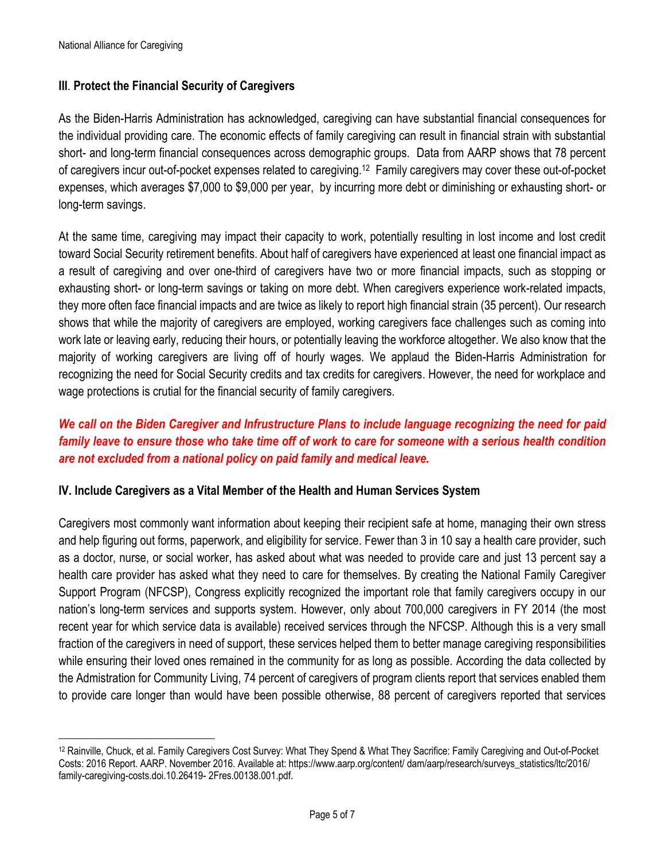## **III**. **Protect the Financial Security of Caregivers**

As the Biden-Harris Administration has acknowledged, caregiving can have substantial financial consequences for the individual providing care. The economic effects of family caregiving can result in financial strain with substantial short- and long-term financial consequences across demographic groups. Data from AARP shows that 78 percent of caregivers incur out-of-pocket expenses related to caregiving.12 Family caregivers may cover these out-of-pocket expenses, which averages \$7,000 to \$9,000 per year, by incurring more debt or diminishing or exhausting short- or long-term savings.

At the same time, caregiving may impact their capacity to work, potentially resulting in lost income and lost credit toward Social Security retirement benefits. About half of caregivers have experienced at least one financial impact as a result of caregiving and over one-third of caregivers have two or more financial impacts, such as stopping or exhausting short- or long-term savings or taking on more debt. When caregivers experience work-related impacts, they more often face financial impacts and are twice as likely to report high financial strain (35 percent). Our research shows that while the majority of caregivers are employed, working caregivers face challenges such as coming into work late or leaving early, reducing their hours, or potentially leaving the workforce altogether. We also know that the majority of working caregivers are living off of hourly wages. We applaud the Biden-Harris Administration for recognizing the need for Social Security credits and tax credits for caregivers. However, the need for workplace and wage protections is crutial for the financial security of family caregivers.

# *We call on the Biden Caregiver and Infrustructure Plans to include language recognizing the need for paid family leave to ensure those who take time off of work to care for someone with a serious health condition are not excluded from a national policy on paid family and medical leave.*

#### **IV. Include Caregivers as a Vital Member of the Health and Human Services System**

Caregivers most commonly want information about keeping their recipient safe at home, managing their own stress and help figuring out forms, paperwork, and eligibility for service. Fewer than 3 in 10 say a health care provider, such as a doctor, nurse, or social worker, has asked about what was needed to provide care and just 13 percent say a health care provider has asked what they need to care for themselves. By creating the National Family Caregiver Support Program (NFCSP), Congress explicitly recognized the important role that family caregivers occupy in our nation's long-term services and supports system. However, only about 700,000 caregivers in FY 2014 (the most recent year for which service data is available) received services through the NFCSP. Although this is a very small fraction of the caregivers in need of support, these services helped them to better manage caregiving responsibilities while ensuring their loved ones remained in the community for as long as possible. According the data collected by the Admistration for Community Living, 74 percent of caregivers of program clients report that services enabled them to provide care longer than would have been possible otherwise, 88 percent of caregivers reported that services

<sup>12</sup> Rainville, Chuck, et al. Family Caregivers Cost Survey: What They Spend & What They Sacrifice: Family Caregiving and Out-of-Pocket Costs: 2016 Report. AARP. November 2016. Available at: https://www.aarp.org/content/ dam/aarp/research/surveys\_statistics/ltc/2016/ family-caregiving-costs.doi.10.26419- 2Fres.00138.001.pdf.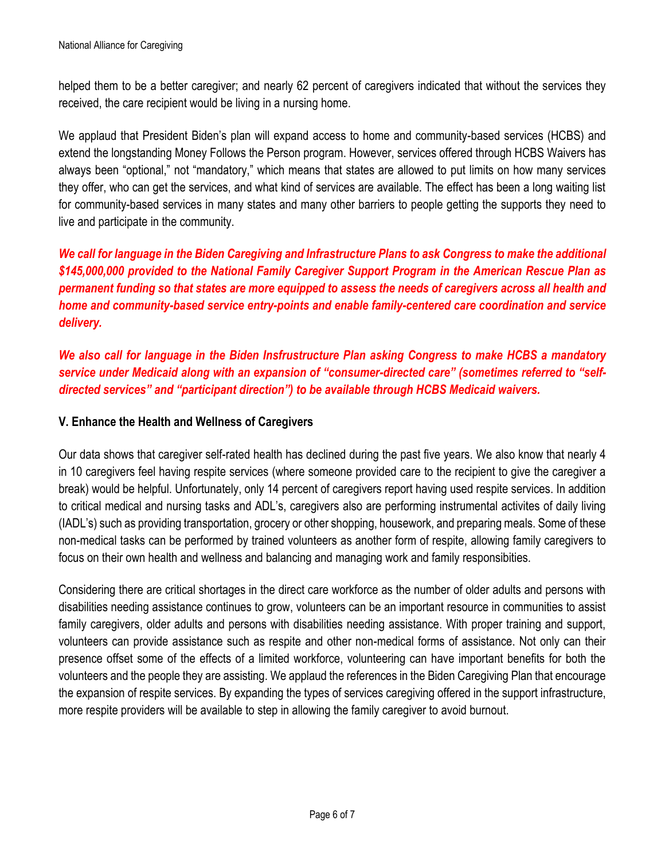helped them to be a better caregiver; and nearly 62 percent of caregivers indicated that without the services they received, the care recipient would be living in a nursing home.

We applaud that President Biden's plan will expand access to home and community-based services (HCBS) and extend the longstanding Money Follows the Person program. However, services offered through HCBS Waivers has always been "optional," not "mandatory," which means that states are allowed to put limits on how many services they offer, who can get the services, and what kind of services are available. The effect has been a long waiting list for community-based services in many states and many other barriers to people getting the supports they need to live and participate in the community.

*We call for language in the Biden Caregiving and Infrastructure Plans to ask Congress to make the additional \$145,000,000 provided to the National Family Caregiver Support Program in the American Rescue Plan as permanent funding so that states are more equipped to assess the needs of caregivers across all health and home and community-based service entry-points and enable family-centered care coordination and service delivery.*

*We also call for language in the Biden Insfrustructure Plan asking Congress to make HCBS a mandatory service under Medicaid along with an expansion of "consumer-directed care" (sometimes referred to "selfdirected services" and "participant direction") to be available through HCBS Medicaid waivers.*

#### **V. Enhance the Health and Wellness of Caregivers**

Our data shows that caregiver self-rated health has declined during the past five years. We also know that nearly 4 in 10 caregivers feel having respite services (where someone provided care to the recipient to give the caregiver a break) would be helpful. Unfortunately, only 14 percent of caregivers report having used respite services. In addition to critical medical and nursing tasks and ADL's, caregivers also are performing instrumental activites of daily living (IADL's) such as providing transportation, grocery or other shopping, housework, and preparing meals. Some of these non-medical tasks can be performed by trained volunteers as another form of respite, allowing family caregivers to focus on their own health and wellness and balancing and managing work and family responsibities.

Considering there are critical shortages in the direct care workforce as the number of older adults and persons with disabilities needing assistance continues to grow, volunteers can be an important resource in communities to assist family caregivers, older adults and persons with disabilities needing assistance. With proper training and support, volunteers can provide assistance such as respite and other non-medical forms of assistance. Not only can their presence offset some of the effects of a limited workforce, volunteering can have important benefits for both the volunteers and the people they are assisting. We applaud the references in the Biden Caregiving Plan that encourage the expansion of respite services. By expanding the types of services caregiving offered in the support infrastructure, more respite providers will be available to step in allowing the family caregiver to avoid burnout.